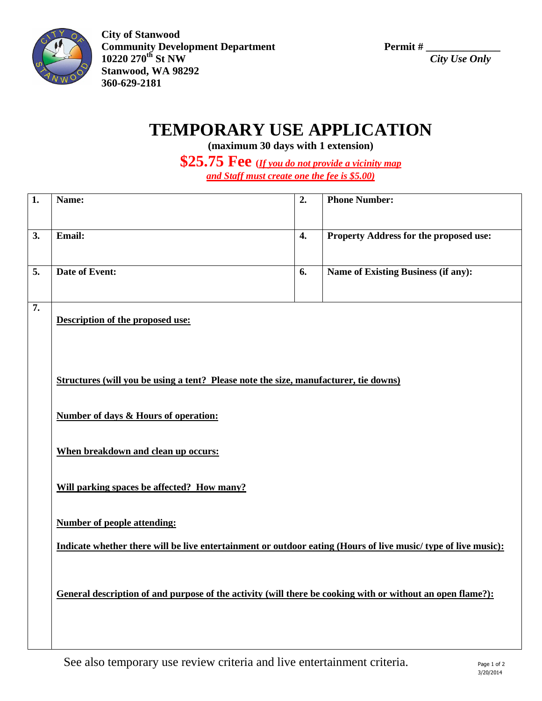

**City of Stanwood Community Development Department** Permit #  $\frac{10220 \cdot 270^{\text{th}} \text{St NW}}{City \text{ Use Only}}$ **10220 270th St NW** *City Use Only* **Stanwood, WA 98292 360-629-2181**

## **TEMPORARY USE APPLICATION**

**(maximum 30 days with 1 extension)**

**\$25.75 Fee (***If you do not provide a vicinity map and Staff must create one the fee is \$5.00)*

| 1.               | Name:                                                                                                          | 2.               | <b>Phone Number:</b>                       |  |  |
|------------------|----------------------------------------------------------------------------------------------------------------|------------------|--------------------------------------------|--|--|
| 3.               | Email:                                                                                                         | $\overline{4}$ . | Property Address for the proposed use:     |  |  |
| 5.               | <b>Date of Event:</b>                                                                                          | 6.               | <b>Name of Existing Business (if any):</b> |  |  |
| $\overline{7}$ . | Description of the proposed use:                                                                               |                  |                                            |  |  |
|                  | Structures (will you be using a tent? Please note the size, manufacturer, tie downs)                           |                  |                                            |  |  |
|                  | <b>Number of days &amp; Hours of operation:</b>                                                                |                  |                                            |  |  |
|                  | When breakdown and clean up occurs:                                                                            |                  |                                            |  |  |
|                  | Will parking spaces be affected? How many?                                                                     |                  |                                            |  |  |
|                  | <b>Number of people attending:</b>                                                                             |                  |                                            |  |  |
|                  | Indicate whether there will be live entertainment or outdoor eating (Hours of live music/ type of live music): |                  |                                            |  |  |
|                  | General description of and purpose of the activity (will there be cooking with or without an open flame?):     |                  |                                            |  |  |